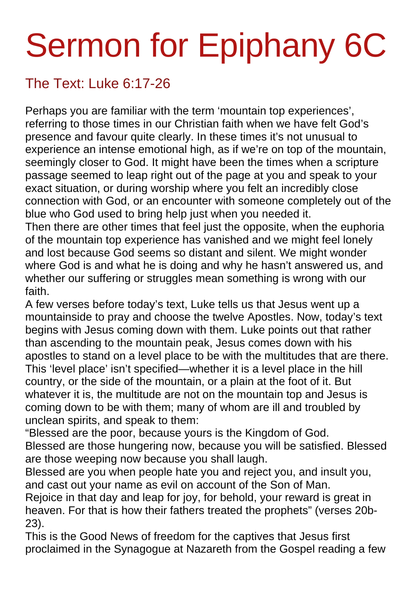## Sermon for Epiphany 6C

## The Text: Luke 6:17-26

Perhaps you are familiar with the term 'mountain top experiences', referring to those times in our Christian faith when we have felt God's presence and favour quite clearly. In these times it's not unusual to experience an intense emotional high, as if we're on top of the mountain, seemingly closer to God. It might have been the times when a scripture passage seemed to leap right out of the page at you and speak to your exact situation, or during worship where you felt an incredibly close connection with God, or an encounter with someone completely out of the blue who God used to bring help just when you needed it.

Then there are other times that feel just the opposite, when the euphoria of the mountain top experience has vanished and we might feel lonely and lost because God seems so distant and silent. We might wonder where God is and what he is doing and why he hasn't answered us, and whether our suffering or struggles mean something is wrong with our faith.

A few verses before today's text, Luke tells us that Jesus went up a mountainside to pray and choose the twelve Apostles. Now, today's text begins with Jesus coming down with them. Luke points out that rather than ascending to the mountain peak, Jesus comes down with his apostles to stand on a level place to be with the multitudes that are there. This 'level place' isn't specified—whether it is a level place in the hill country, or the side of the mountain, or a plain at the foot of it. But whatever it is, the multitude are not on the mountain top and Jesus is coming down to be with them; many of whom are ill and troubled by unclean spirits, and speak to them:

"Blessed are the poor, because yours is the Kingdom of God. Blessed are those hungering now, because you will be satisfied. Blessed are those weeping now because you shall laugh.

Blessed are you when people hate you and reject you, and insult you, and cast out your name as evil on account of the Son of Man.

Rejoice in that day and leap for joy, for behold, your reward is great in heaven. For that is how their fathers treated the prophets" (verses 20b-23).

This is the Good News of freedom for the captives that Jesus first proclaimed in the Synagogue at Nazareth from the Gospel reading a few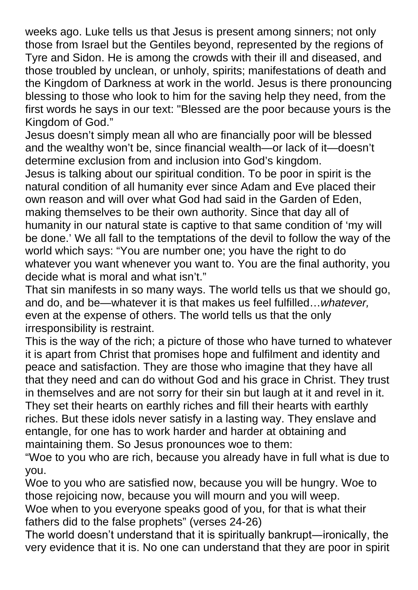weeks ago. Luke tells us that Jesus is present among sinners; not only those from Israel but the Gentiles beyond, represented by the regions of Tyre and Sidon. He is among the crowds with their ill and diseased, and those troubled by unclean, or unholy, spirits; manifestations of death and the Kingdom of Darkness at work in the world. Jesus is there pronouncing blessing to those who look to him for the saving help they need, from the first words he says in our text: "Blessed are the poor because yours is the Kingdom of God."

Jesus doesn't simply mean all who are financially poor will be blessed and the wealthy won't be, since financial wealth—or lack of it—doesn't determine exclusion from and inclusion into God's kingdom.

Jesus is talking about our spiritual condition. To be poor in spirit is the natural condition of all humanity ever since Adam and Eve placed their own reason and will over what God had said in the Garden of Eden, making themselves to be their own authority. Since that day all of humanity in our natural state is captive to that same condition of 'my will be done.' We all fall to the temptations of the devil to follow the way of the world which says: "You are number one; you have the right to do whatever you want whenever you want to. You are the final authority, you decide what is moral and what isn't."

That sin manifests in so many ways. The world tells us that we should go, and do, and be—whatever it is that makes us feel fulfilled…*whatever,*  even at the expense of others. The world tells us that the only irresponsibility is restraint.

This is the way of the rich; a picture of those who have turned to whatever it is apart from Christ that promises hope and fulfilment and identity and peace and satisfaction. They are those who imagine that they have all that they need and can do without God and his grace in Christ. They trust in themselves and are not sorry for their sin but laugh at it and revel in it. They set their hearts on earthly riches and fill their hearts with earthly riches. But these idols never satisfy in a lasting way. They enslave and entangle, for one has to work harder and harder at obtaining and maintaining them. So Jesus pronounces woe to them:

"Woe to you who are rich, because you already have in full what is due to you.

Woe to you who are satisfied now, because you will be hungry. Woe to those rejoicing now, because you will mourn and you will weep.

Woe when to you everyone speaks good of you, for that is what their fathers did to the false prophets" (verses 24-26)

The world doesn't understand that it is spiritually bankrupt―ironically, the very evidence that it is. No one can understand that they are poor in spirit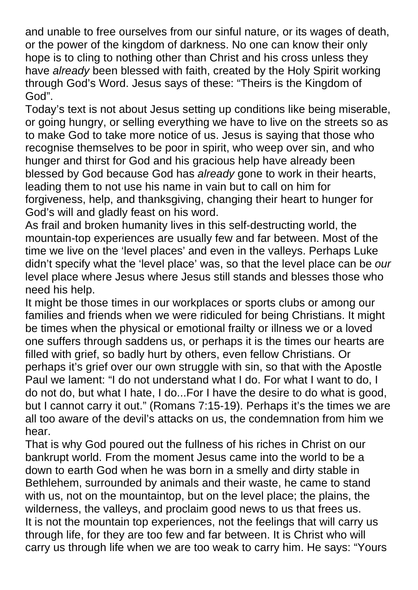and unable to free ourselves from our sinful nature, or its wages of death, or the power of the kingdom of darkness. No one can know their only hope is to cling to nothing other than Christ and his cross unless they have *already* been blessed with faith, created by the Holy Spirit working through God's Word. Jesus says of these: "Theirs is the Kingdom of God".

Today's text is not about Jesus setting up conditions like being miserable, or going hungry, or selling everything we have to live on the streets so as to make God to take more notice of us. Jesus is saying that those who recognise themselves to be poor in spirit, who weep over sin, and who hunger and thirst for God and his gracious help have already been blessed by God because God has *already* gone to work in their hearts, leading them to not use his name in vain but to call on him for forgiveness, help, and thanksgiving, changing their heart to hunger for God's will and gladly feast on his word.

As frail and broken humanity lives in this self-destructing world, the mountain-top experiences are usually few and far between. Most of the time we live on the 'level places' and even in the valleys. Perhaps Luke didn't specify what the 'level place' was, so that the level place can be *our* level place where Jesus where Jesus still stands and blesses those who need his help.

It might be those times in our workplaces or sports clubs or among our families and friends when we were ridiculed for being Christians. It might be times when the physical or emotional frailty or illness we or a loved one suffers through saddens us, or perhaps it is the times our hearts are filled with grief, so badly hurt by others, even fellow Christians. Or perhaps it's grief over our own struggle with sin, so that with the Apostle Paul we lament: "I do not understand what I do. For what I want to do, I do not do, but what I hate, I do...For I have the desire to do what is good, but I cannot carry it out." (Romans 7:15-19). Perhaps it's the times we are all too aware of the devil's attacks on us, the condemnation from him we hear.

That is why God poured out the fullness of his riches in Christ on our bankrupt world. From the moment Jesus came into the world to be a down to earth God when he was born in a smelly and dirty stable in Bethlehem, surrounded by animals and their waste, he came to stand with us, not on the mountaintop, but on the level place; the plains, the wilderness, the valleys, and proclaim good news to us that frees us. It is not the mountain top experiences, not the feelings that will carry us through life, for they are too few and far between. It is Christ who will carry us through life when we are too weak to carry him. He says: "Yours